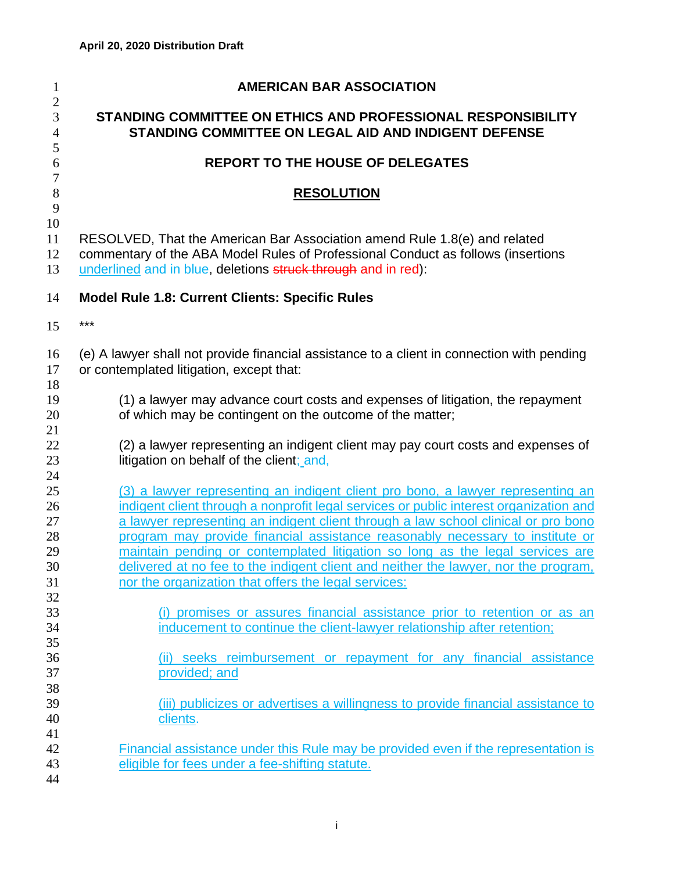| $\mathbf{1}$                        | <b>AMERICAN BAR ASSOCIATION</b>                                                                                                                                                                                                                                                                                                                                                                                                   |
|-------------------------------------|-----------------------------------------------------------------------------------------------------------------------------------------------------------------------------------------------------------------------------------------------------------------------------------------------------------------------------------------------------------------------------------------------------------------------------------|
| $\mathbf{2}$<br>3<br>$\overline{4}$ | STANDING COMMITTEE ON ETHICS AND PROFESSIONAL RESPONSIBILITY<br><b>STANDING COMMITTEE ON LEGAL AID AND INDIGENT DEFENSE</b>                                                                                                                                                                                                                                                                                                       |
| 5<br>6                              | <b>REPORT TO THE HOUSE OF DELEGATES</b>                                                                                                                                                                                                                                                                                                                                                                                           |
| $\overline{7}$<br>$8\,$             | <b>RESOLUTION</b>                                                                                                                                                                                                                                                                                                                                                                                                                 |
| 9<br>10<br>11<br>12<br>13           | RESOLVED, That the American Bar Association amend Rule 1.8(e) and related<br>commentary of the ABA Model Rules of Professional Conduct as follows (insertions<br>underlined and in blue, deletions struck through and in red):                                                                                                                                                                                                    |
| 14                                  | <b>Model Rule 1.8: Current Clients: Specific Rules</b>                                                                                                                                                                                                                                                                                                                                                                            |
| 15                                  | ***                                                                                                                                                                                                                                                                                                                                                                                                                               |
| 16<br>17<br>18                      | (e) A lawyer shall not provide financial assistance to a client in connection with pending<br>or contemplated litigation, except that:                                                                                                                                                                                                                                                                                            |
| 19<br>20<br>21                      | (1) a lawyer may advance court costs and expenses of litigation, the repayment<br>of which may be contingent on the outcome of the matter;                                                                                                                                                                                                                                                                                        |
| 22<br>23<br>24                      | (2) a lawyer representing an indigent client may pay court costs and expenses of<br>litigation on behalf of the client; and,                                                                                                                                                                                                                                                                                                      |
| 25<br>26<br>27<br>28<br>29          | (3) a lawyer representing an indigent client pro bono, a lawyer representing an<br>indigent client through a nonprofit legal services or public interest organization and<br>a lawyer representing an indigent client through a law school clinical or pro bono<br>program may provide financial assistance reasonably necessary to institute or<br>maintain pending or contemplated litigation so long as the legal services are |
| 30<br>31<br>32                      | delivered at no fee to the indigent client and neither the lawyer, nor the program,<br>nor the organization that offers the legal services:                                                                                                                                                                                                                                                                                       |
| 33<br>34<br>35                      | (i) promises or assures financial assistance prior to retention or as an<br>inducement to continue the client-lawyer relationship after retention;                                                                                                                                                                                                                                                                                |
| 36<br>37<br>38                      | (ii) seeks reimbursement or repayment for any financial assistance<br>provided; and                                                                                                                                                                                                                                                                                                                                               |
| 39<br>40<br>41                      | (iii) publicizes or advertises a willingness to provide financial assistance to<br>clients.                                                                                                                                                                                                                                                                                                                                       |
| 42<br>43<br>44                      | Financial assistance under this Rule may be provided even if the representation is<br>eligible for fees under a fee-shifting statute.                                                                                                                                                                                                                                                                                             |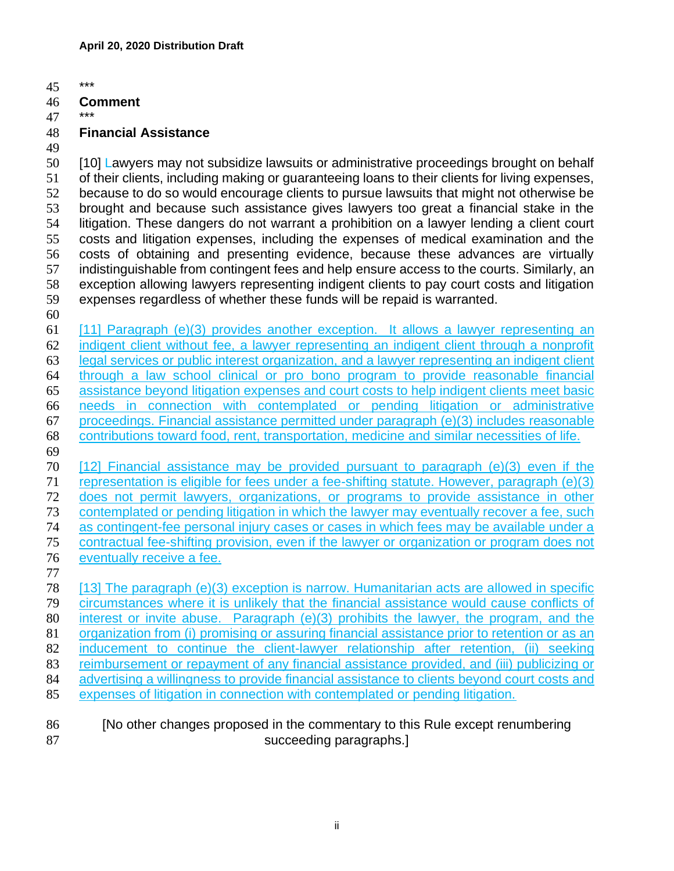\*\*\*

#### **Comment**

- 
- **Financial Assistance**
- 

 [10] Lawyers may not subsidize lawsuits or administrative proceedings brought on behalf of their clients, including making or guaranteeing loans to their clients for living expenses, because to do so would encourage clients to pursue lawsuits that might not otherwise be brought and because such assistance gives lawyers too great a financial stake in the litigation. These dangers do not warrant a prohibition on a lawyer lending a client court costs and litigation expenses, including the expenses of medical examination and the costs of obtaining and presenting evidence, because these advances are virtually indistinguishable from contingent fees and help ensure access to the courts. Similarly, an exception allowing lawyers representing indigent clients to pay court costs and litigation expenses regardless of whether these funds will be repaid is warranted.

 [11] Paragraph (e)(3) provides another exception. It allows a lawyer representing an indigent client without fee, a lawyer representing an indigent client through a nonprofit legal services or public interest organization, and a lawyer representing an indigent client through a law school clinical or pro bono program to provide reasonable financial assistance beyond litigation expenses and court costs to help indigent clients meet basic needs in connection with contemplated or pending litigation or administrative proceedings. Financial assistance permitted under paragraph (e)(3) includes reasonable contributions toward food, rent, transportation, medicine and similar necessities of life. 

- [12] Financial assistance may be provided pursuant to paragraph (e)(3) even if the representation is eligible for fees under a fee-shifting statute. However, paragraph (e)(3) does not permit lawyers, organizations, or programs to provide assistance in other contemplated or pending litigation in which the lawyer may eventually recover a fee, such as contingent-fee personal injury cases or cases in which fees may be available under a contractual fee-shifting provision, even if the lawyer or organization or program does not eventually receive a fee.
- 

 [13] The paragraph (e)(3) exception is narrow. Humanitarian acts are allowed in specific circumstances where it is unlikely that the financial assistance would cause conflicts of interest or invite abuse. Paragraph (e)(3) prohibits the lawyer, the program, and the organization from (i) promising or assuring financial assistance prior to retention or as an 82 inducement to continue the client-lawyer relationship after retention, (ii) seeking reimbursement or repayment of any financial assistance provided, and (iii) publicizing or 84 advertising a willingness to provide financial assistance to clients beyond court costs and expenses of litigation in connection with contemplated or pending litigation.

### [No other changes proposed in the commentary to this Rule except renumbering 87 succeeding paragraphs.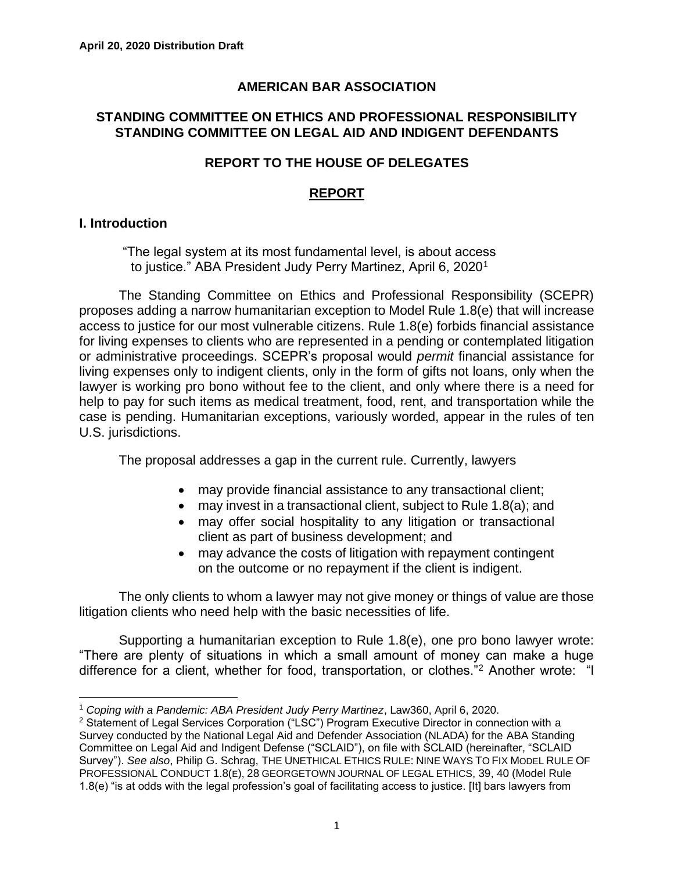### **AMERICAN BAR ASSOCIATION**

#### **STANDING COMMITTEE ON ETHICS AND PROFESSIONAL RESPONSIBILITY STANDING COMMITTEE ON LEGAL AID AND INDIGENT DEFENDANTS**

### **REPORT TO THE HOUSE OF DELEGATES**

### **REPORT**

### **I. Introduction**

"The legal system at its most fundamental level, is about access to justice." ABA President Judy Perry Martinez, April 6, 2020<sup>1</sup>

The Standing Committee on Ethics and Professional Responsibility (SCEPR) proposes adding a narrow humanitarian exception to Model Rule 1.8(e) that will increase access to justice for our most vulnerable citizens. Rule 1.8(e) forbids financial assistance for living expenses to clients who are represented in a pending or contemplated litigation or administrative proceedings. SCEPR's proposal would *permit* financial assistance for living expenses only to indigent clients, only in the form of gifts not loans, only when the lawyer is working pro bono without fee to the client, and only where there is a need for help to pay for such items as medical treatment, food, rent, and transportation while the case is pending. Humanitarian exceptions, variously worded, appear in the rules of ten U.S. jurisdictions.

The proposal addresses a gap in the current rule. Currently, lawyers

- may provide financial assistance to any transactional client;
- may invest in a transactional client, subject to Rule 1.8(a); and
- may offer social hospitality to any litigation or transactional client as part of business development; and
- may advance the costs of litigation with repayment contingent on the outcome or no repayment if the client is indigent.

The only clients to whom a lawyer may not give money or things of value are those litigation clients who need help with the basic necessities of life.

Supporting a humanitarian exception to Rule 1.8(e), one pro bono lawyer wrote: "There are plenty of situations in which a small amount of money can make a huge difference for a client, whether for food, transportation, or clothes."<sup>2</sup> Another wrote: "I

<sup>1</sup> *Coping with a Pandemic: ABA President Judy Perry Martinez*, Law360, April 6, 2020.

<sup>&</sup>lt;sup>2</sup> Statement of Legal Services Corporation ("LSC") Program Executive Director in connection with a Survey conducted by the National Legal Aid and Defender Association (NLADA) for the ABA Standing Committee on Legal Aid and Indigent Defense ("SCLAID"), on file with SCLAID (hereinafter, "SCLAID Survey"). *See also*, Philip G. Schrag, THE UNETHICAL ETHICS RULE: NINE WAYS TO FIX MODEL RULE OF PROFESSIONAL CONDUCT 1.8(E), 28 GEORGETOWN JOURNAL OF LEGAL ETHICS, 39, 40 (Model Rule 1.8(e) "is at odds with the legal profession's goal of facilitating access to justice. [It] bars lawyers from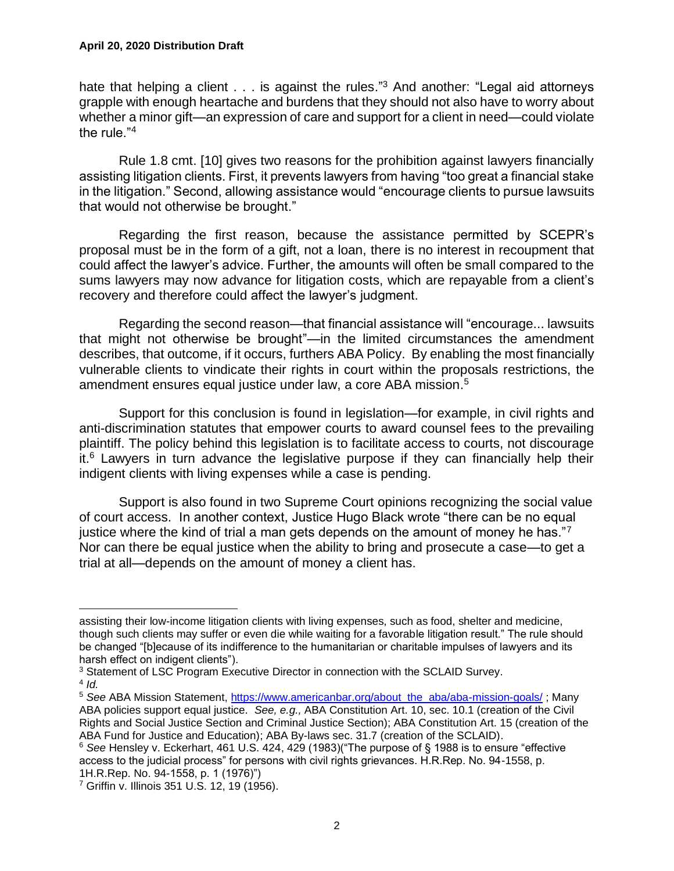hate that helping a client . . . is against the rules."<sup>3</sup> And another: "Legal aid attorneys grapple with enough heartache and burdens that they should not also have to worry about whether a minor gift—an expression of care and support for a client in need—could violate the rule." $4$ 

Rule 1.8 cmt. [10] gives two reasons for the prohibition against lawyers financially assisting litigation clients. First, it prevents lawyers from having "too great a financial stake in the litigation." Second, allowing assistance would "encourage clients to pursue lawsuits that would not otherwise be brought."

Regarding the first reason, because the assistance permitted by SCEPR's proposal must be in the form of a gift, not a loan, there is no interest in recoupment that could affect the lawyer's advice. Further, the amounts will often be small compared to the sums lawyers may now advance for litigation costs, which are repayable from a client's recovery and therefore could affect the lawyer's judgment.

Regarding the second reason—that financial assistance will "encourage... lawsuits that might not otherwise be brought"—in the limited circumstances the amendment describes, that outcome, if it occurs, furthers ABA Policy. By enabling the most financially vulnerable clients to vindicate their rights in court within the proposals restrictions, the amendment ensures equal justice under law, a core ABA mission. 5

Support for this conclusion is found in legislation—for example, in civil rights and anti-discrimination statutes that empower courts to award counsel fees to the prevailing plaintiff. The policy behind this legislation is to facilitate access to courts, not discourage it.<sup>6</sup> Lawyers in turn advance the legislative purpose if they can financially help their indigent clients with living expenses while a case is pending.

Support is also found in two Supreme Court opinions recognizing the social value of court access. In another context, Justice Hugo Black wrote "there can be no equal justice where the kind of trial a man gets depends on the amount of money he has."<sup>7</sup> Nor can there be equal justice when the ability to bring and prosecute a case—to get a trial at all—depends on the amount of money a client has.

4 *Id.*

assisting their low-income litigation clients with living expenses, such as food, shelter and medicine, though such clients may suffer or even die while waiting for a favorable litigation result." The rule should be changed "[b]ecause of its indifference to the humanitarian or charitable impulses of lawyers and its harsh effect on indigent clients").

<sup>&</sup>lt;sup>3</sup> Statement of LSC Program Executive Director in connection with the SCLAID Survey.

<sup>&</sup>lt;sup>5</sup> See ABA Mission Statement, [https://www.americanbar.org/about\\_the\\_aba/aba-mission-goals/](https://www.americanbar.org/about_the_aba/aba-mission-goals/) ; Many ABA policies support equal justice. *See, e.g.,* ABA Constitution Art. 10, sec. 10.1 (creation of the Civil Rights and Social Justice Section and Criminal Justice Section); ABA Constitution Art. 15 (creation of the ABA Fund for Justice and Education); ABA By-laws sec. 31.7 (creation of the SCLAID).

<sup>6</sup> *See* Hensley v. Eckerhart, 461 U.S. 424, 429 (1983)("The purpose of § 1988 is to ensure "effective access to the judicial process" for persons with civil rights grievances. H.R.Rep. No. 94-1558, p. 1H.R.Rep. No. 94-1558, p. 1 (1976)")

<sup>7</sup> Griffin v. Illinois 351 U.S. 12, 19 (1956).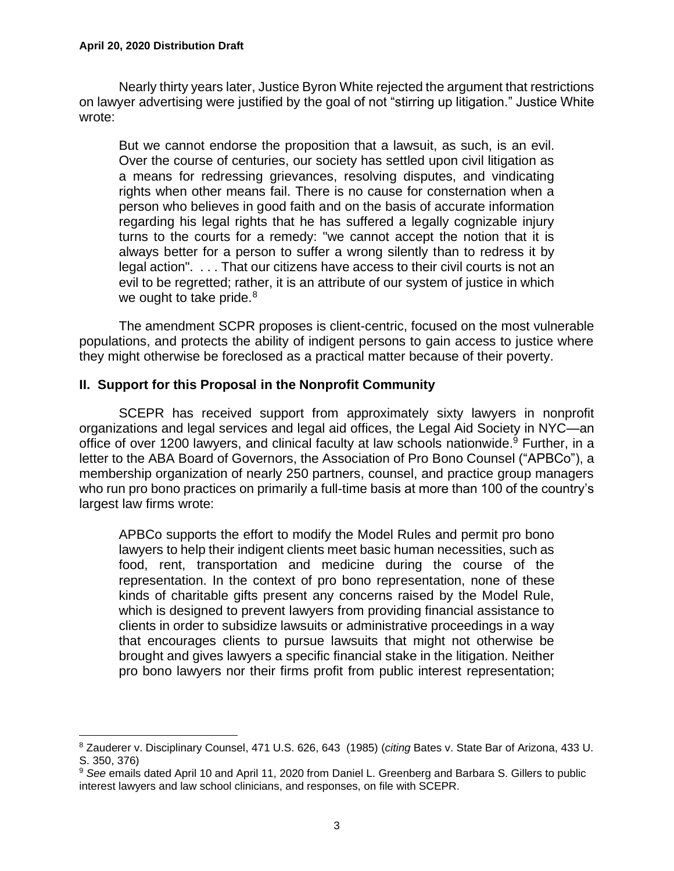Nearly thirty years later, Justice Byron White rejected the argument that restrictions on lawyer advertising were justified by the goal of not "stirring up litigation." Justice White wrote:

But we cannot endorse the proposition that a lawsuit, as such, is an evil. Over the course of centuries, our society has settled upon civil litigation as a means for redressing grievances, resolving disputes, and vindicating rights when other means fail. There is no cause for consternation when a person who believes in good faith and on the basis of accurate information regarding his legal rights that he has suffered a legally cognizable injury turns to the courts for a remedy: "we cannot accept the notion that it is always better for a person to suffer a wrong silently than to redress it by legal action". . . . That our citizens have access to their civil courts is not an evil to be regretted; rather, it is an attribute of our system of justice in which we ought to take pride.<sup>8</sup>

The amendment SCPR proposes is client-centric, focused on the most vulnerable populations, and protects the ability of indigent persons to gain access to justice where they might otherwise be foreclosed as a practical matter because of their poverty.

### **II. Support for this Proposal in the Nonprofit Community**

SCEPR has received support from approximately sixty lawyers in nonprofit organizations and legal services and legal aid offices, the Legal Aid Society in NYC—an office of over 1200 lawyers, and clinical faculty at law schools nationwide.<sup>9</sup> Further, in a letter to the ABA Board of Governors, the Association of Pro Bono Counsel ("APBCo"), a membership organization of nearly 250 partners, counsel, and practice group managers who run pro bono practices on primarily a full-time basis at more than 100 of the country's largest law firms wrote:

APBCo supports the effort to modify the Model Rules and permit pro bono lawyers to help their indigent clients meet basic human necessities, such as food, rent, transportation and medicine during the course of the representation. In the context of pro bono representation, none of these kinds of charitable gifts present any concerns raised by the Model Rule, which is designed to prevent lawyers from providing financial assistance to clients in order to subsidize lawsuits or administrative proceedings in a way that encourages clients to pursue lawsuits that might not otherwise be brought and gives lawyers a specific financial stake in the litigation. Neither pro bono lawyers nor their firms profit from public interest representation;

<sup>8</sup> Zauderer v. Disciplinary Counsel, 471 U.S. 626, 643 (1985) (*citing* Bates v. State Bar of Arizona, 433 U. S. 350, 376)

<sup>9</sup> *See* emails dated April 10 and April 11, 2020 from Daniel L. Greenberg and Barbara S. Gillers to public interest lawyers and law school clinicians, and responses, on file with SCEPR.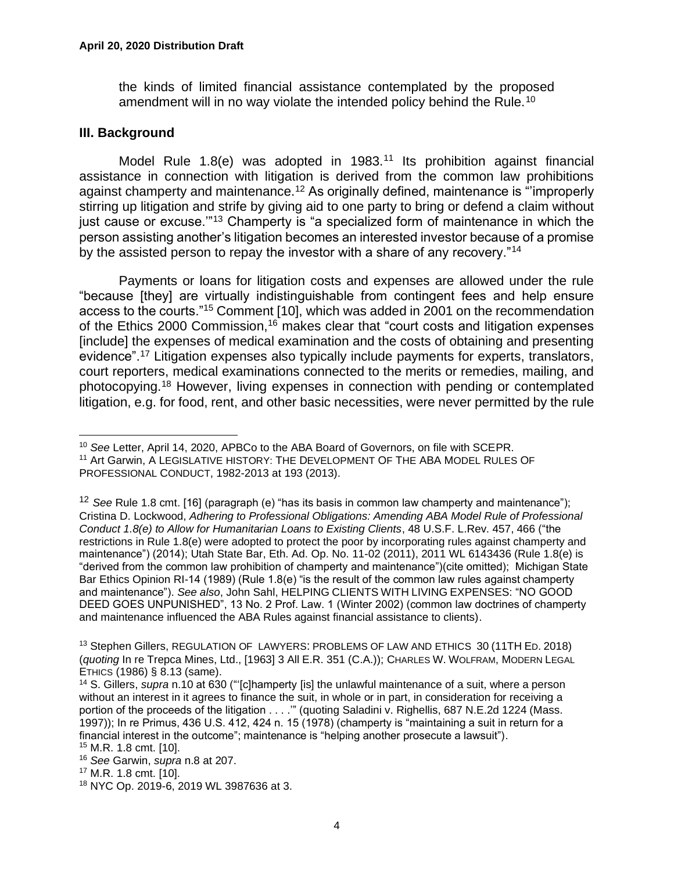the kinds of limited financial assistance contemplated by the proposed amendment will in no way violate the intended policy behind the Rule.<sup>10</sup>

#### **III. Background**

Model Rule 1.8(e) was adopted in 1983.<sup>11</sup> Its prohibition against financial assistance in connection with litigation is derived from the common law prohibitions against champerty and maintenance.<sup>12</sup> As originally defined, maintenance is "'improperly stirring up litigation and strife by giving aid to one party to bring or defend a claim without just cause or excuse."<sup>13</sup> Champerty is "a specialized form of maintenance in which the person assisting another's litigation becomes an interested investor because of a promise by the assisted person to repay the investor with a share of any recovery."<sup>14</sup>

Payments or loans for litigation costs and expenses are allowed under the rule "because [they] are virtually indistinguishable from contingent fees and help ensure access to the courts."<sup>15</sup> Comment [10], which was added in 2001 on the recommendation of the Ethics 2000 Commission,<sup>16</sup> makes clear that "court costs and litigation expenses [include] the expenses of medical examination and the costs of obtaining and presenting evidence".<sup>17</sup> Litigation expenses also typically include payments for experts, translators, court reporters, medical examinations connected to the merits or remedies, mailing, and photocopying.<sup>18</sup> However, living expenses in connection with pending or contemplated litigation, e.g. for food, rent, and other basic necessities, were never permitted by the rule

<sup>10</sup> *See* Letter, April 14, 2020, APBCo to the ABA Board of Governors, on file with SCEPR.

<sup>11</sup> Art Garwin, A LEGISLATIVE HISTORY: THE DEVELOPMENT OF THE ABA MODEL RULES OF PROFESSIONAL CONDUCT, 1982-2013 at 193 (2013).

<sup>&</sup>lt;sup>12</sup> See Rule 1.8 cmt. [16] (paragraph (e) "has its basis in common law champerty and maintenance"); Cristina D. Lockwood, *Adhering to Professional Obligations: Amending ABA Model Rule of Professional Conduct 1.8(e) to Allow for Humanitarian Loans to Existing Clients*, 48 U.S.F. L.Rev. 457, 466 ("the restrictions in Rule 1.8(e) were adopted to protect the poor by incorporating rules against champerty and maintenance") (2014); Utah State Bar, Eth. Ad. Op. No. 11-02 (2011), 2011 WL 6143436 (Rule 1.8(e) is "derived from the common law prohibition of champerty and maintenance")(cite omitted); Michigan State Bar Ethics Opinion RI-14 (1989) (Rule 1.8(e) "is the result of the common law rules against champerty and maintenance"). *See also*, John Sahl, HELPING CLIENTS WITH LIVING EXPENSES: "NO GOOD DEED GOES UNPUNISHED", 13 No. 2 Prof. Law. 1 (Winter 2002) (common law doctrines of champerty and maintenance influenced the ABA Rules against financial assistance to clients).

<sup>&</sup>lt;sup>13</sup> Stephen Gillers, REGULATION OF LAWYERS: PROBLEMS OF LAW AND ETHICS 30 (11TH ED. 2018) (*quoting* In re Trepca Mines, Ltd., [1963] 3 All E.R. 351 (C.A.)); CHARLES W. WOLFRAM, MODERN LEGAL ETHICS (1986) § 8.13 (same).

<sup>14</sup> S. Gillers, *supra* n.10 at 630 ("'[c]hamperty [is] the unlawful maintenance of a suit, where a person without an interest in it agrees to finance the suit, in whole or in part, in consideration for receiving a portion of the proceeds of the litigation . . . .'" (quoting Saladini v. Righellis, 687 N.E.2d 1224 (Mass. 1997)); In re Primus, 436 U.S. 412, 424 n. 15 (1978) (champerty is "maintaining a suit in return for a financial interest in the outcome"; maintenance is "helping another prosecute a lawsuit"). <sup>15</sup> M.R. 1.8 cmt. [10].

<sup>16</sup> *See* Garwin, *supra* n.8 at 207.

<sup>17</sup> M.R. 1.8 cmt. [10].

<sup>18</sup> NYC Op. 2019-6, 2019 WL 3987636 at 3.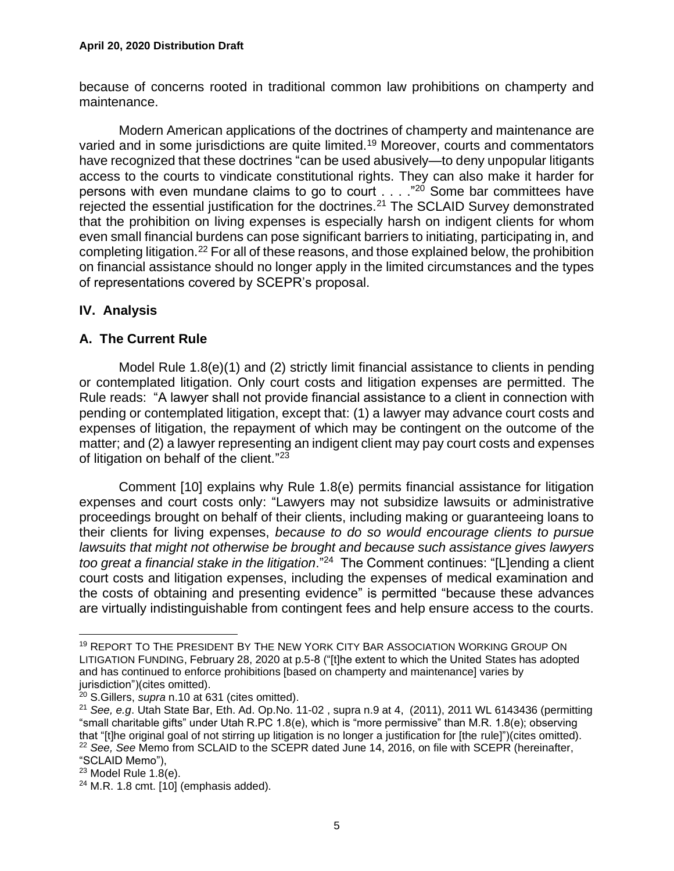because of concerns rooted in traditional common law prohibitions on champerty and maintenance.

Modern American applications of the doctrines of champerty and maintenance are varied and in some jurisdictions are quite limited.<sup>19</sup> Moreover, courts and commentators have recognized that these doctrines "can be used abusively—to deny unpopular litigants access to the courts to vindicate constitutional rights. They can also make it harder for persons with even mundane claims to go to court . . . . "20 Some bar committees have rejected the essential justification for the doctrines.<sup>21</sup> The SCLAID Survey demonstrated that the prohibition on living expenses is especially harsh on indigent clients for whom even small financial burdens can pose significant barriers to initiating, participating in, and completing litigation.<sup>22</sup> For all of these reasons, and those explained below, the prohibition on financial assistance should no longer apply in the limited circumstances and the types of representations covered by SCEPR's proposal.

# **IV. Analysis**

### **A. The Current Rule**

Model Rule 1.8(e)(1) and (2) strictly limit financial assistance to clients in pending or contemplated litigation. Only court costs and litigation expenses are permitted. The Rule reads: "A lawyer shall not provide financial assistance to a client in connection with pending or contemplated litigation, except that: (1) a lawyer may advance court costs and expenses of litigation, the repayment of which may be contingent on the outcome of the matter; and (2) a lawyer representing an indigent client may pay court costs and expenses of litigation on behalf of the client."<sup>23</sup>

Comment [10] explains why Rule 1.8(e) permits financial assistance for litigation expenses and court costs only: "Lawyers may not subsidize lawsuits or administrative proceedings brought on behalf of their clients, including making or guaranteeing loans to their clients for living expenses, *because to do so would encourage clients to pursue lawsuits that might not otherwise be brought and because such assistance gives lawyers too great a financial stake in the litigation*." <sup>24</sup> The Comment continues: "[L]ending a client court costs and litigation expenses, including the expenses of medical examination and the costs of obtaining and presenting evidence" is permitted "because these advances are virtually indistinguishable from contingent fees and help ensure access to the courts.

<sup>19</sup> REPORT TO THE PRESIDENT BY THE NEW YORK CITY BAR ASSOCIATION WORKING GROUP ON LITIGATION FUNDING, February 28, 2020 at p.5-8 ("[t]he extent to which the United States has adopted and has continued to enforce prohibitions [based on champerty and maintenance] varies by jurisdiction")(cites omitted).

<sup>20</sup> S.Gillers, *supra* n.10 at 631 (cites omitted).

<sup>21</sup> *See, e.g*. Utah State Bar, Eth. Ad. Op.No. 11-02 , supra n.9 at 4, (2011), 2011 WL 6143436 (permitting "small charitable gifts" under Utah R.PC 1.8(e), which is "more permissive" than M.R. 1.8(e); observing that "[t]he original goal of not stirring up litigation is no longer a justification for [the rule]")(cites omitted). <sup>22</sup> *See, See* Memo from SCLAID to the SCEPR dated June 14, 2016, on file with SCEPR (hereinafter, "SCLAID Memo"),

 $23$  Model Rule 1.8(e).

 $24$  M.R. 1.8 cmt. [10] (emphasis added).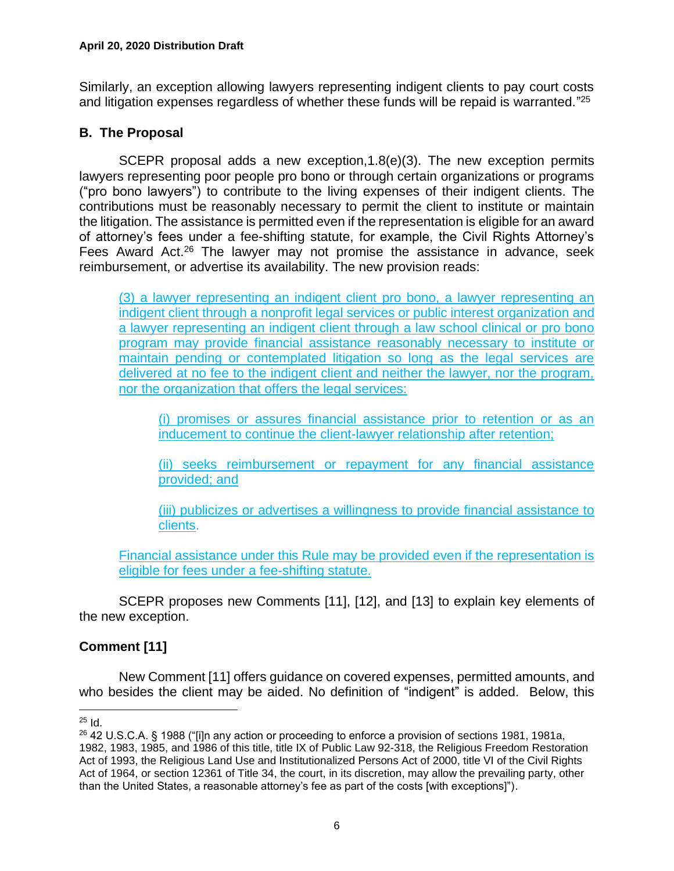Similarly, an exception allowing lawyers representing indigent clients to pay court costs and litigation expenses regardless of whether these funds will be repaid is warranted."<sup>25</sup>

### **B. The Proposal**

SCEPR proposal adds a new exception,1.8(e)(3). The new exception permits lawyers representing poor people pro bono or through certain organizations or programs ("pro bono lawyers") to contribute to the living expenses of their indigent clients. The contributions must be reasonably necessary to permit the client to institute or maintain the litigation. The assistance is permitted even if the representation is eligible for an award of attorney's fees under a fee-shifting statute, for example, the Civil Rights Attorney's Fees Award Act.<sup>26</sup> The lawyer may not promise the assistance in advance, seek reimbursement, or advertise its availability. The new provision reads:

(3) a lawyer representing an indigent client pro bono, a lawyer representing an indigent client through a nonprofit legal services or public interest organization and a lawyer representing an indigent client through a law school clinical or pro bono program may provide financial assistance reasonably necessary to institute or maintain pending or contemplated litigation so long as the legal services are delivered at no fee to the indigent client and neither the lawyer, nor the program, nor the organization that offers the legal services:

(i) promises or assures financial assistance prior to retention or as an inducement to continue the client-lawyer relationship after retention;

(ii) seeks reimbursement or repayment for any financial assistance provided; and

(iii) publicizes or advertises a willingness to provide financial assistance to clients.

Financial assistance under this Rule may be provided even if the representation is eligible for fees under a fee-shifting statute.

SCEPR proposes new Comments [11], [12], and [13] to explain key elements of the new exception.

# **Comment [11]**

New Comment [11] offers guidance on covered expenses, permitted amounts, and who besides the client may be aided. No definition of "indigent" is added. Below, this

 $25$  Id.

<sup>26</sup> 42 U.S.C.A. § 1988 ("[i]n any action or proceeding to enforce a provision of [sections 1981,](http://www.westlaw.com/Link/Document/FullText?findType=L&pubNum=1000546&cite=42USCAS1981&originatingDoc=NF7A49150AFF711D8803AE0632FEDDFBF&refType=LQ&originationContext=document&vr=3.0&rs=cblt1.0&transitionType=DocumentItem&contextData=(sc.DocLink)) [1981a,](http://www.westlaw.com/Link/Document/FullText?findType=L&pubNum=1000546&cite=42USCAS1981A&originatingDoc=NF7A49150AFF711D8803AE0632FEDDFBF&refType=LQ&originationContext=document&vr=3.0&rs=cblt1.0&transitionType=DocumentItem&contextData=(sc.DocLink)) [1982,](http://www.westlaw.com/Link/Document/FullText?findType=L&pubNum=1000546&cite=42USCAS1982&originatingDoc=NF7A49150AFF711D8803AE0632FEDDFBF&refType=LQ&originationContext=document&vr=3.0&rs=cblt1.0&transitionType=DocumentItem&contextData=(sc.DocLink)) [1983,](http://www.westlaw.com/Link/Document/FullText?findType=L&pubNum=1000546&cite=42USCAS1983&originatingDoc=NF7A49150AFF711D8803AE0632FEDDFBF&refType=LQ&originationContext=document&vr=3.0&rs=cblt1.0&transitionType=DocumentItem&contextData=(sc.DocLink)) [1985,](http://www.westlaw.com/Link/Document/FullText?findType=L&pubNum=1000546&cite=42USCAS1985&originatingDoc=NF7A49150AFF711D8803AE0632FEDDFBF&refType=LQ&originationContext=document&vr=3.0&rs=cblt1.0&transitionType=DocumentItem&contextData=(sc.DocLink)) and [1986](http://www.westlaw.com/Link/Document/FullText?findType=L&pubNum=1000546&cite=42USCAS1986&originatingDoc=NF7A49150AFF711D8803AE0632FEDDFBF&refType=LQ&originationContext=document&vr=3.0&rs=cblt1.0&transitionType=DocumentItem&contextData=(sc.DocLink)) of this title, title IX of [Public Law 92-318,](http://www.westlaw.com/Link/Document/FullText?findType=l&pubNum=1077005&cite=UUID(If2ca08d0d4-3d11d89fa00-0065b696d43)&originatingDoc=NF7A49150AFF711D8803AE0632FEDDFBF&refType=SL&originationContext=document&vr=3.0&rs=cblt1.0&transitionType=DocumentItem&contextData=(sc.DocLink)) the Religious Freedom Restoration Act of 1993, the Religious Land Use and Institutionalized Persons Act of 2000, title VI of the Civil Rights Act of 1964, or [section 12361 of Title 34,](http://www.westlaw.com/Link/Document/FullText?findType=L&pubNum=1000546&cite=34USCAS12361&originatingDoc=NF7A49150AFF711D8803AE0632FEDDFBF&refType=LQ&originationContext=document&vr=3.0&rs=cblt1.0&transitionType=DocumentItem&contextData=(sc.DocLink)) the court, in its discretion, may allow the prevailing party, other than the United States, a reasonable attorney's fee as part of the costs [with exceptions]").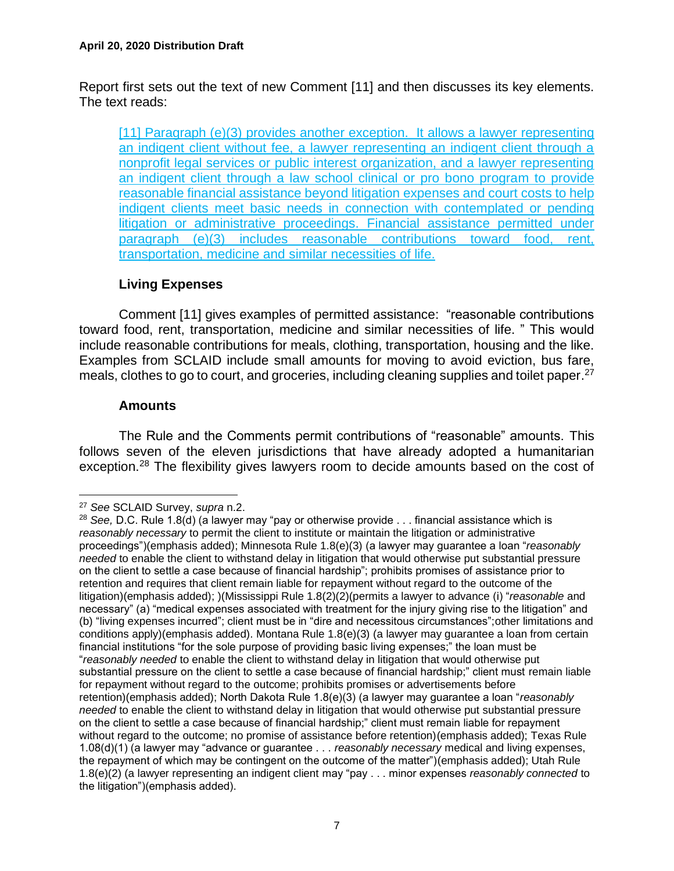Report first sets out the text of new Comment [11] and then discusses its key elements. The text reads:

[11] Paragraph (e)(3) provides another exception. It allows a lawyer representing an indigent client without fee, a lawyer representing an indigent client through a nonprofit legal services or public interest organization, and a lawyer representing an indigent client through a law school clinical or pro bono program to provide reasonable financial assistance beyond litigation expenses and court costs to help indigent clients meet basic needs in connection with contemplated or pending litigation or administrative proceedings. Financial assistance permitted under paragraph (e)(3) includes reasonable contributions toward food, rent, transportation, medicine and similar necessities of life.

# **Living Expenses**

Comment [11] gives examples of permitted assistance: "reasonable contributions toward food, rent, transportation, medicine and similar necessities of life. " This would include reasonable contributions for meals, clothing, transportation, housing and the like. Examples from SCLAID include small amounts for moving to avoid eviction, bus fare, meals, clothes to go to court, and groceries, including cleaning supplies and toilet paper.<sup>27</sup>

### **Amounts**

The Rule and the Comments permit contributions of "reasonable" amounts. This follows seven of the eleven jurisdictions that have already adopted a humanitarian exception.<sup>28</sup> The flexibility gives lawyers room to decide amounts based on the cost of

<sup>27</sup> *See* SCLAID Survey, *supra* n.2.

<sup>28</sup> *See,* D.C. Rule 1.8(d) (a lawyer may "pay or otherwise provide . . . financial assistance which is *reasonably necessary* to permit the client to institute or maintain the litigation or administrative proceedings")(emphasis added); Minnesota Rule 1.8(e)(3) (a lawyer may guarantee a loan "*reasonably needed* to enable the client to withstand delay in litigation that would otherwise put substantial pressure on the client to settle a case because of financial hardship"; prohibits promises of assistance prior to retention and requires that client remain liable for repayment without regard to the outcome of the litigation)(emphasis added); )(Mississippi Rule 1.8(2)(2)(permits a lawyer to advance (i) "*reasonable* and necessary" (a) "medical expenses associated with treatment for the injury giving rise to the litigation" and (b) "living expenses incurred"; client must be in "dire and necessitous circumstances";other limitations and conditions apply)(emphasis added). Montana Rule 1.8(e)(3) (a lawyer may guarantee a loan from certain financial institutions "for the sole purpose of providing basic living expenses;" the loan must be "*reasonably needed* to enable the client to withstand delay in litigation that would otherwise put substantial pressure on the client to settle a case because of financial hardship;" client must remain liable for repayment without regard to the outcome; prohibits promises or advertisements before retention)(emphasis added); North Dakota Rule 1.8(e)(3) (a lawyer may guarantee a loan "*reasonably needed* to enable the client to withstand delay in litigation that would otherwise put substantial pressure on the client to settle a case because of financial hardship;" client must remain liable for repayment without regard to the outcome; no promise of assistance before retention)(emphasis added); Texas Rule 1.08(d)(1) (a lawyer may "advance or guarantee . . . *reasonably necessary* medical and living expenses, the repayment of which may be contingent on the outcome of the matter")(emphasis added); Utah Rule 1.8(e)(2) (a lawyer representing an indigent client may "pay . . . minor expenses *reasonably connected* to the litigation")(emphasis added).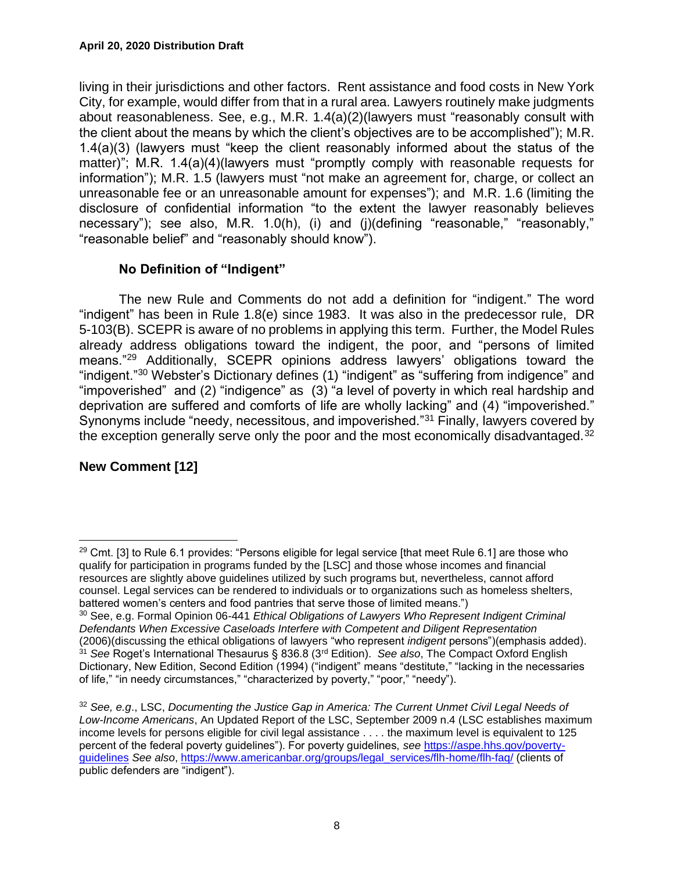living in their jurisdictions and other factors. Rent assistance and food costs in New York City, for example, would differ from that in a rural area. Lawyers routinely make judgments about reasonableness. See, e.g., M.R. 1.4(a)(2)(lawyers must "reasonably consult with the client about the means by which the client's objectives are to be accomplished"); M.R. 1.4(a)(3) (lawyers must "keep the client reasonably informed about the status of the matter)"; M.R. 1.4(a)(4)(lawyers must "promptly comply with reasonable requests for information"); M.R. 1.5 (lawyers must "not make an agreement for, charge, or collect an unreasonable fee or an unreasonable amount for expenses"); and M.R. 1.6 (limiting the disclosure of confidential information "to the extent the lawyer reasonably believes necessary"); see also, M.R. 1.0(h), (i) and (j)(defining "reasonable," "reasonably," "reasonable belief" and "reasonably should know").

# **No Definition of "Indigent"**

The new Rule and Comments do not add a definition for "indigent." The word "indigent" has been in Rule 1.8(e) since 1983. It was also in the predecessor rule, DR 5-103(B). SCEPR is aware of no problems in applying this term. Further, the Model Rules already address obligations toward the indigent, the poor, and "persons of limited means."<sup>29</sup> Additionally, SCEPR opinions address lawyers' obligations toward the "indigent."<sup>30</sup> Webster's Dictionary defines (1) "indigent" as "suffering from indigence" and "impoverished" and (2) "indigence" as (3) "a level of poverty in which real hardship and deprivation are suffered and comforts of life are wholly lacking" and (4) "impoverished." Synonyms include "needy, necessitous, and impoverished."<sup>31</sup> Finally, lawyers covered by the exception generally serve only the poor and the most economically disadvantaged.<sup>32</sup>

# **New Comment [12]**

 $29$  Cmt. [3] to Rule 6.1 provides: "Persons eligible for legal service [that meet Rule 6.1] are those who qualify for participation in programs funded by the [LSC] and those whose incomes and financial resources are slightly above guidelines utilized by such programs but, nevertheless, cannot afford counsel. Legal services can be rendered to individuals or to organizations such as homeless shelters, battered women's centers and food pantries that serve those of limited means.")

<sup>30</sup> See, e.g. Formal Opinion 06-441 *Ethical Obligations of Lawyers Who Represent Indigent Criminal Defendants When Excessive Caseloads Interfere with Competent and Diligent Representation* (2006)(discussing the ethical obligations of lawyers "who represent *indigent* persons")(emphasis added). <sup>31</sup> *See* Roget's International Thesaurus § 836.8 (3rd Edition). *See also*, The Compact Oxford English Dictionary, New Edition, Second Edition (1994) ("indigent" means "destitute," "lacking in the necessaries of life," "in needy circumstances," "characterized by poverty," "poor," "needy").

<sup>32</sup> *See, e.g*., LSC, *Documenting the Justice Gap in America: The Current Unmet Civil Legal Needs of Low-Income Americans*, An Updated Report of the LSC, September 2009 n.4 (LSC establishes maximum income levels for persons eligible for civil legal assistance . . . . the maximum level is equivalent to 125 percent of the federal poverty guidelines"). For poverty guidelines, *see* [https://aspe.hhs.gov/poverty](https://aspe.hhs.gov/poverty-guidelines)[guidelines](https://aspe.hhs.gov/poverty-guidelines) *See also*, [https://www.americanbar.org/groups/legal\\_services/flh-home/flh-faq/](https://www.americanbar.org/groups/legal_services/flh-home/flh-faq/) (clients of public defenders are "indigent").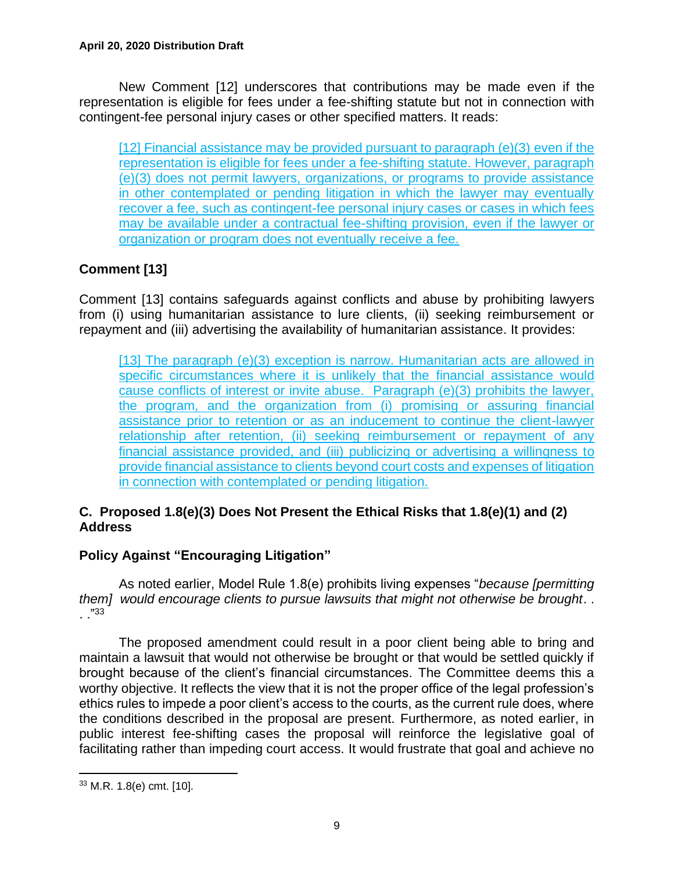New Comment [12] underscores that contributions may be made even if the representation is eligible for fees under a fee-shifting statute but not in connection with contingent-fee personal injury cases or other specified matters. It reads:

[12] Financial assistance may be provided pursuant to paragraph (e)(3) even if the representation is eligible for fees under a fee-shifting statute. However, paragraph (e)(3) does not permit lawyers, organizations, or programs to provide assistance in other contemplated or pending litigation in which the lawyer may eventually recover a fee, such as contingent-fee personal injury cases or cases in which fees may be available under a contractual fee-shifting provision, even if the lawyer or organization or program does not eventually receive a fee.

# **Comment [13]**

Comment [13] contains safeguards against conflicts and abuse by prohibiting lawyers from (i) using humanitarian assistance to lure clients, (ii) seeking reimbursement or repayment and (iii) advertising the availability of humanitarian assistance. It provides:

[13] The paragraph (e)(3) exception is narrow. Humanitarian acts are allowed in specific circumstances where it is unlikely that the financial assistance would cause conflicts of interest or invite abuse. Paragraph (e)(3) prohibits the lawyer, the program, and the organization from (i) promising or assuring financial assistance prior to retention or as an inducement to continue the client-lawyer relationship after retention, (ii) seeking reimbursement or repayment of any financial assistance provided, and (iii) publicizing or advertising a willingness to provide financial assistance to clients beyond court costs and expenses of litigation in connection with contemplated or pending litigation.

# **C. Proposed 1.8(e)(3) Does Not Present the Ethical Risks that 1.8(e)(1) and (2) Address**

# **Policy Against "Encouraging Litigation"**

As noted earlier, Model Rule 1.8(e) prohibits living expenses "*because [permitting them] would encourage clients to pursue lawsuits that might not otherwise be brought*. . . ."<sup>33</sup>

The proposed amendment could result in a poor client being able to bring and maintain a lawsuit that would not otherwise be brought or that would be settled quickly if brought because of the client's financial circumstances. The Committee deems this a worthy objective. It reflects the view that it is not the proper office of the legal profession's ethics rules to impede a poor client's access to the courts, as the current rule does, where the conditions described in the proposal are present. Furthermore, as noted earlier, in public interest fee-shifting cases the proposal will reinforce the legislative goal of facilitating rather than impeding court access. It would frustrate that goal and achieve no

<sup>33</sup> M.R. 1.8(e) cmt. [10].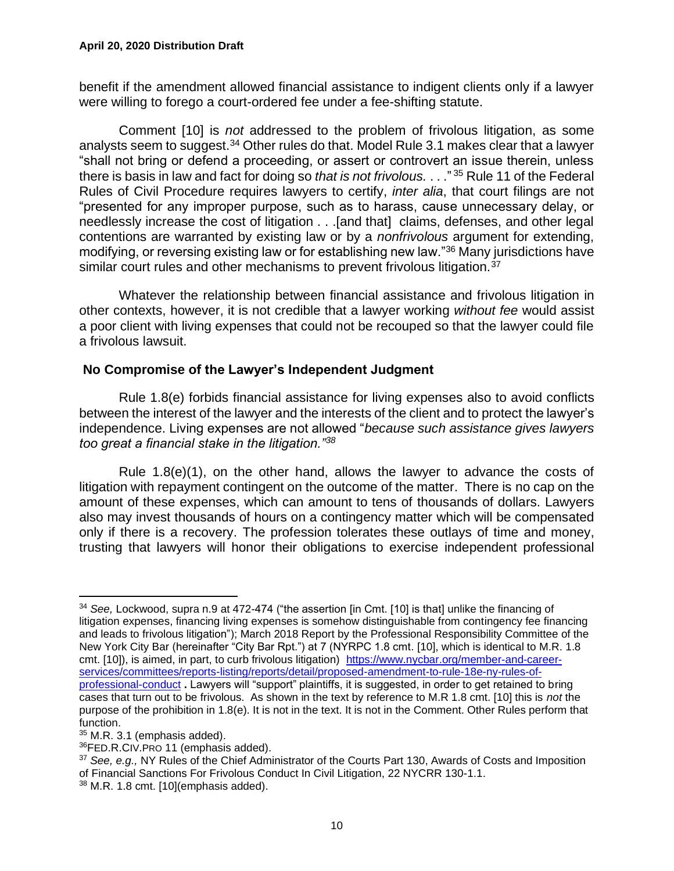benefit if the amendment allowed financial assistance to indigent clients only if a lawyer were willing to forego a court-ordered fee under a fee-shifting statute.

Comment [10] is *not* addressed to the problem of frivolous litigation, as some analysts seem to suggest.<sup>34</sup> Other rules do that. Model Rule 3.1 makes clear that a lawyer "shall not bring or defend a proceeding, or assert or controvert an issue therein, unless there is basis in law and fact for doing so *that is not frivolous.* . . ." <sup>35</sup> Rule 11 of the Federal Rules of Civil Procedure requires lawyers to certify, *inter alia*, that court filings are not "presented for any improper purpose, such as to harass, cause unnecessary delay, or needlessly increase the cost of litigation . . .[and that] claims, defenses, and other legal contentions are warranted by existing law or by a *nonfrivolous* argument for extending, modifying, or reversing existing law or for establishing new law."<sup>36</sup> Many jurisdictions have similar court rules and other mechanisms to prevent frivolous litigation.<sup>37</sup>

Whatever the relationship between financial assistance and frivolous litigation in other contexts, however, it is not credible that a lawyer working *without fee* would assist a poor client with living expenses that could not be recouped so that the lawyer could file a frivolous lawsuit.

### **No Compromise of the Lawyer's Independent Judgment**

Rule 1.8(e) forbids financial assistance for living expenses also to avoid conflicts between the interest of the lawyer and the interests of the client and to protect the lawyer's independence. Living expenses are not allowed "*because such assistance gives lawyers too great a financial stake in the litigation."<sup>38</sup>*

Rule 1.8(e)(1), on the other hand, allows the lawyer to advance the costs of litigation with repayment contingent on the outcome of the matter. There is no cap on the amount of these expenses, which can amount to tens of thousands of dollars. Lawyers also may invest thousands of hours on a contingency matter which will be compensated only if there is a recovery. The profession tolerates these outlays of time and money, trusting that lawyers will honor their obligations to exercise independent professional

<sup>34</sup> *See,* Lockwood, supra n.9 at 472-474 ("the assertion [in Cmt. [10] is that] unlike the financing of litigation expenses, financing living expenses is somehow distinguishable from contingency fee financing and leads to frivolous litigation"); March 2018 Report by the Professional Responsibility Committee of the New York City Bar (hereinafter "City Bar Rpt.") at 7 (NYRPC 1.8 cmt. [10], which is identical to M.R. 1.8 cmt. [10]), is aimed, in part, to curb frivolous litigation) [https://www.nycbar.org/member-and-career](https://www.nycbar.org/member-and-career-services/committees/reports-listing/reports/detail/proposed-amendment-to-rule-18e-ny-rules-of-professional-conduct)[services/committees/reports-listing/reports/detail/proposed-amendment-to-rule-18e-ny-rules-of](https://www.nycbar.org/member-and-career-services/committees/reports-listing/reports/detail/proposed-amendment-to-rule-18e-ny-rules-of-professional-conduct)[professional-conduct](https://www.nycbar.org/member-and-career-services/committees/reports-listing/reports/detail/proposed-amendment-to-rule-18e-ny-rules-of-professional-conduct) **.** Lawyers will "support" plaintiffs, it is suggested, in order to get retained to bring cases that turn out to be frivolous. As shown in the text by reference to M.R 1.8 cmt. [10] this is *not* the purpose of the prohibition in 1.8(e). It is not in the text. It is not in the Comment. Other Rules perform that function.

 $35$  M.R. 3.1 (emphasis added).

<sup>36</sup>FED.R.CIV.PRO 11 (emphasis added).

<sup>37</sup> *See, e.g.,* NY Rules of the Chief Administrator of the Courts Part 130, Awards of Costs and Imposition of Financial Sanctions For Frivolous Conduct In Civil Litigation, 22 NYCRR 130-1.1.  $38$  M.R. 1.8 cmt. [10](emphasis added).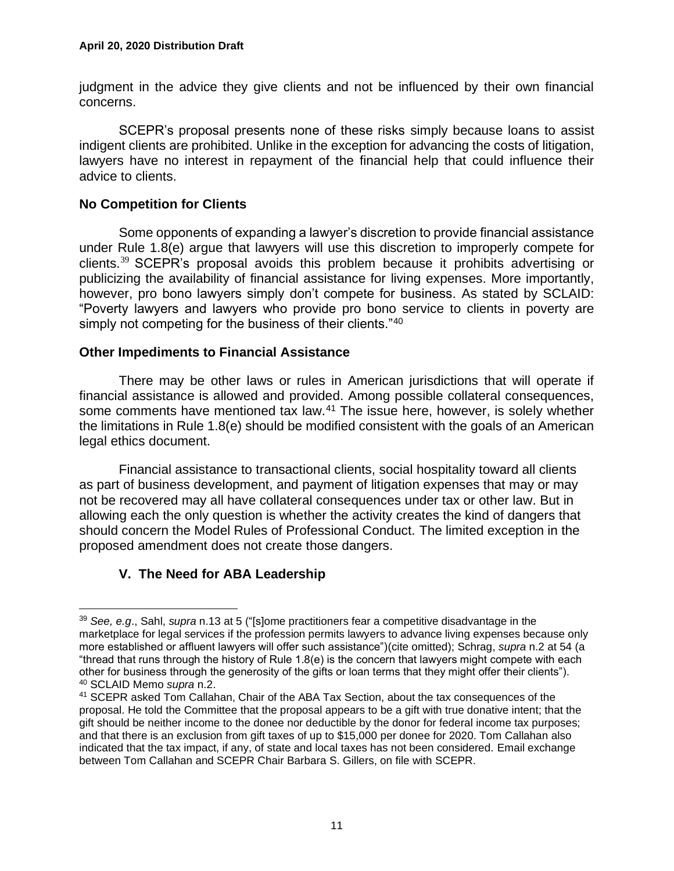judgment in the advice they give clients and not be influenced by their own financial concerns.

SCEPR's proposal presents none of these risks simply because loans to assist indigent clients are prohibited. Unlike in the exception for advancing the costs of litigation, lawyers have no interest in repayment of the financial help that could influence their advice to clients.

#### **No Competition for Clients**

Some opponents of expanding a lawyer's discretion to provide financial assistance under Rule 1.8(e) argue that lawyers will use this discretion to improperly compete for clients.<sup>39</sup> SCEPR's proposal avoids this problem because it prohibits advertising or publicizing the availability of financial assistance for living expenses. More importantly, however, pro bono lawyers simply don't compete for business. As stated by SCLAID: "Poverty lawyers and lawyers who provide pro bono service to clients in poverty are simply not competing for the business of their clients."<sup>40</sup>

### **Other Impediments to Financial Assistance**

There may be other laws or rules in American jurisdictions that will operate if financial assistance is allowed and provided. Among possible collateral consequences, some comments have mentioned tax law.<sup>41</sup> The issue here, however, is solely whether the limitations in Rule 1.8(e) should be modified consistent with the goals of an American legal ethics document.

Financial assistance to transactional clients, social hospitality toward all clients as part of business development, and payment of litigation expenses that may or may not be recovered may all have collateral consequences under tax or other law. But in allowing each the only question is whether the activity creates the kind of dangers that should concern the Model Rules of Professional Conduct. The limited exception in the proposed amendment does not create those dangers.

# **V. The Need for ABA Leadership**

<sup>39</sup> *See, e.g*., Sahl, *supra* n.13 at 5 ("[s]ome practitioners fear a competitive disadvantage in the marketplace for legal services if the profession permits lawyers to advance living expenses because only more established or affluent lawyers will offer such assistance")(cite omitted); Schrag, *supra* n.2 at 54 (a "thread that runs through the history of Rule 1.8(e) is the concern that lawyers might compete with each other for business through the generosity of the gifts or loan terms that they might offer their clients"). <sup>40</sup> SCLAID Memo *supra* n.2.

<sup>&</sup>lt;sup>41</sup> SCEPR asked Tom Callahan, Chair of the ABA Tax Section, about the tax consequences of the proposal. He told the Committee that the proposal appears to be a gift with true donative intent; that the gift should be neither income to the donee nor deductible by the donor for federal income tax purposes; and that there is an exclusion from gift taxes of up to \$15,000 per donee for 2020. Tom Callahan also indicated that the tax impact, if any, of state and local taxes has not been considered. Email exchange between Tom Callahan and SCEPR Chair Barbara S. Gillers, on file with SCEPR.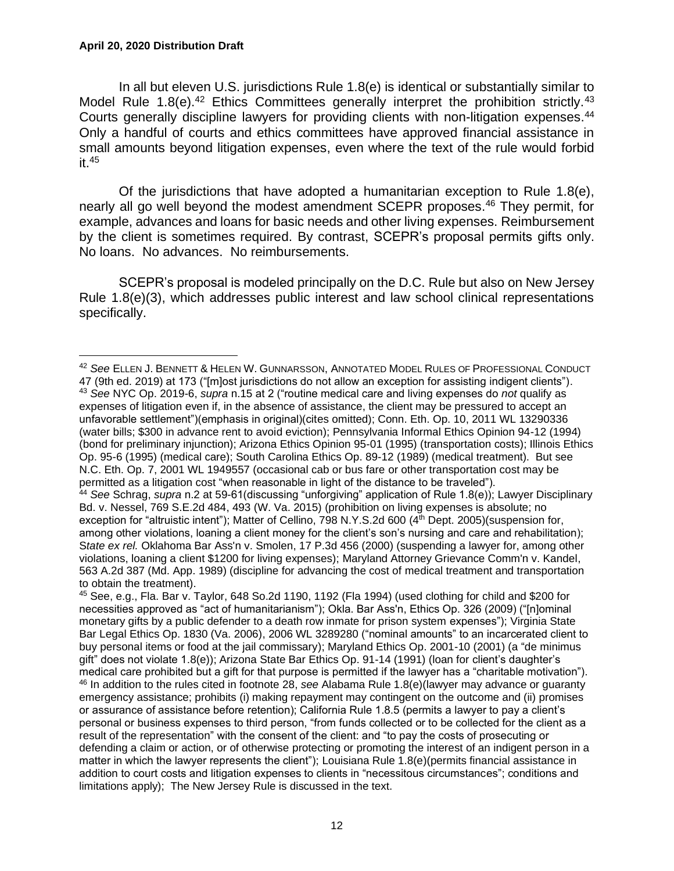#### **April 20, 2020 Distribution Draft**

In all but eleven U.S. jurisdictions Rule 1.8(e) is identical or substantially similar to Model Rule 1.8(e).<sup>42</sup> Ethics Committees generally interpret the prohibition strictly.<sup>43</sup> Courts generally discipline lawyers for providing clients with non-litigation expenses. 44 Only a handful of courts and ethics committees have approved financial assistance in small amounts beyond litigation expenses, even where the text of the rule would forbid it. 45

Of the jurisdictions that have adopted a humanitarian exception to Rule 1.8(e), nearly all go well beyond the modest amendment SCEPR proposes. <sup>46</sup> They permit, for example, advances and loans for basic needs and other living expenses. Reimbursement by the client is sometimes required. By contrast, SCEPR's proposal permits gifts only. No loans. No advances. No reimbursements.

SCEPR's proposal is modeled principally on the D.C. Rule but also on New Jersey Rule 1.8(e)(3), which addresses public interest and law school clinical representations specifically.

<sup>42</sup> *See* ELLEN J. BENNETT & HELEN W. GUNNARSSON, ANNOTATED MODEL RULES OF PROFESSIONAL CONDUCT 47 (9th ed. 2019) at 173 ("[m]ost jurisdictions do not allow an exception for assisting indigent clients"). <sup>43</sup> *See* NYC Op. 2019-6, *supra* n.15 at 2 ("routine medical care and living expenses do *not* qualify as expenses of litigation even if, in the absence of assistance, the client may be pressured to accept an unfavorable settlement")(emphasis in original)(cites omitted); Conn. Eth. Op. 10, 2011 WL 13290336 (water bills; \$300 in advance rent to avoid eviction); Pennsylvania Informal Ethics Opinion 94-12 (1994) (bond for preliminary injunction); Arizona Ethics Opinion 95-01 (1995) (transportation costs); Illinois Ethics Op. 95-6 (1995) (medical care); South Carolina Ethics Op. 89-12 (1989) (medical treatment). But see N.C. Eth. Op. 7, 2001 WL 1949557 (occasional cab or bus fare or other transportation cost may be permitted as a litigation cost "when reasonable in light of the distance to be traveled").

<sup>44</sup> *See* Schrag, *supra* n.2 at 59-61(discussing "unforgiving" application of Rule 1.8(e)); Lawyer Disciplinary Bd. v. Nessel, 769 S.E.2d 484, 493 (W. Va. 2015) (prohibition on living expenses is absolute; no exception for "altruistic intent"); Matter of Cellino, 798 N.Y.S.2d 600 (4<sup>th</sup> Dept. 2005)(suspension for, among other violations, loaning a client money for the client's son's nursing and care and rehabilitation); S*tate ex rel.* Oklahoma Bar Ass'n v. Smolen, 17 P.3d 456 (2000) (suspending a lawyer for, among other violations, loaning a client \$1200 for living expenses); Maryland Attorney Grievance Comm'n v. Kandel, 563 A.2d 387 (Md. App. 1989) (discipline for advancing the cost of medical treatment and transportation to obtain the treatment).

<sup>45</sup> See, e.g., Fla. Bar v. Taylor, 648 So.2d 1190, 1192 (Fla 1994) (used clothing for child and \$200 for necessities approved as "act of humanitarianism"); Okla. Bar Ass'n, Ethics Op. 326 (2009) ("[n]ominal monetary gifts by a public defender to a death row inmate for prison system expenses"); Virginia State Bar Legal Ethics Op. 1830 (Va. 2006), 2006 WL 3289280 ("nominal amounts" to an incarcerated client to buy personal items or food at the jail commissary); Maryland Ethics Op. 2001-10 (2001) (a "de minimus gift" does not violate 1.8(e)); Arizona State Bar Ethics Op. 91-14 (1991) (loan for client's daughter's medical care prohibited but a gift for that purpose is permitted if the lawyer has a "charitable motivation"). <sup>46</sup> In addition to the rules cited in footnote 28, *see* Alabama Rule 1.8(e)(lawyer may advance or guaranty emergency assistance; prohibits (i) making repayment may contingent on the outcome and (ii) promises or assurance of assistance before retention); California Rule 1.8.5 (permits a lawyer to pay a client's personal or business expenses to third person, "from funds collected or to be collected for the client as a result of the representation" with the consent of the client: and "to pay the costs of prosecuting or defending a claim or action, or of otherwise protecting or promoting the interest of an indigent person in a matter in which the lawyer represents the client"); Louisiana Rule 1.8(e)(permits financial assistance in addition to court costs and litigation expenses to clients in "necessitous circumstances"; conditions and limitations apply); The New Jersey Rule is discussed in the text.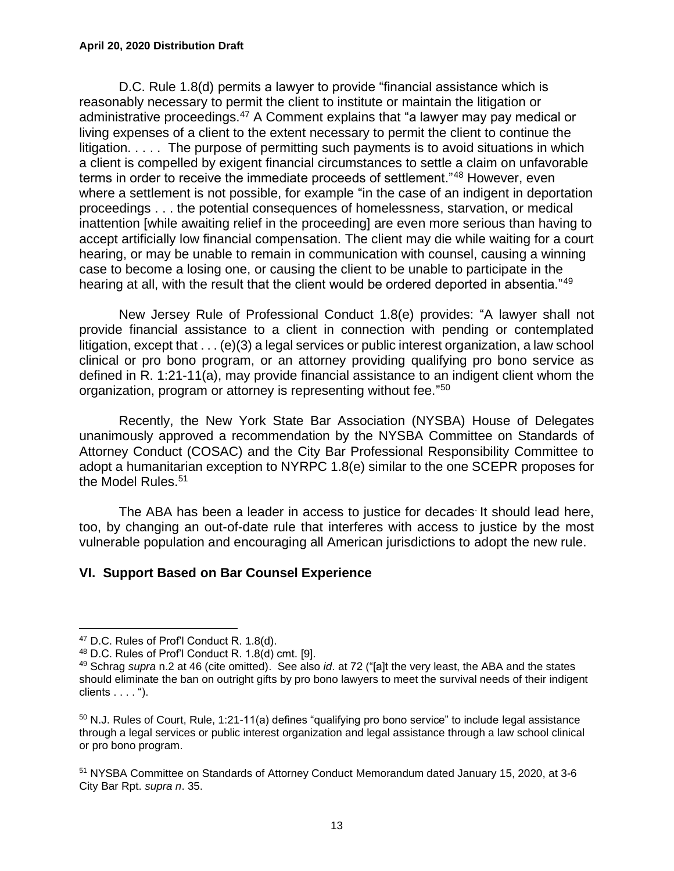D.C. Rule 1.8(d) permits a lawyer to provide "financial assistance which is reasonably necessary to permit the client to institute or maintain the litigation or administrative proceedings.<sup>47</sup> A Comment explains that "a lawyer may pay medical or living expenses of a client to the extent necessary to permit the client to continue the litigation. . . . . The purpose of permitting such payments is to avoid situations in which a client is compelled by exigent financial circumstances to settle a claim on unfavorable terms in order to receive the immediate proceeds of settlement."<sup>48</sup> However, even where a settlement is not possible, for example "in the case of an indigent in deportation proceedings . . . the potential consequences of homelessness, starvation, or medical inattention [while awaiting relief in the proceeding] are even more serious than having to accept artificially low financial compensation. The client may die while waiting for a court hearing, or may be unable to remain in communication with counsel, causing a winning case to become a losing one, or causing the client to be unable to participate in the hearing at all, with the result that the client would be ordered deported in absentia."<sup>49</sup>

New Jersey Rule of Professional Conduct 1.8(e) provides: "A lawyer shall not provide financial assistance to a client in connection with pending or contemplated litigation, except that . . . (e)(3) a legal services or public interest organization, a law school clinical or pro bono program, or an attorney providing qualifying pro bono service as defined in R. 1:21-11(a), may provide financial assistance to an indigent client whom the organization, program or attorney is representing without fee." 50

Recently, the New York State Bar Association (NYSBA) House of Delegates unanimously approved a recommendation by the NYSBA Committee on Standards of Attorney Conduct (COSAC) and the City Bar Professional Responsibility Committee to adopt a humanitarian exception to NYRPC 1.8(e) similar to the one SCEPR proposes for the Model Rules.<sup>51</sup>

The ABA has been a leader in access to justice for decades It should lead here, too, by changing an out-of-date rule that interferes with access to justice by the most vulnerable population and encouraging all American jurisdictions to adopt the new rule.

#### **VI. Support Based on Bar Counsel Experience**

<sup>&</sup>lt;sup>47</sup> D.C. Rules of Prof'l Conduct R. 1.8(d).

 $48$  D.C. Rules of Prof'l Conduct R. 1.8(d) cmt. [9].

<sup>49</sup> Schrag *supra* n.2 at 46 (cite omitted). See also *id*. at 72 ("[a]t the very least, the ABA and the states should eliminate the ban on outright gifts by pro bono lawyers to meet the survival needs of their indigent clients . . . . ").

<sup>&</sup>lt;sup>50</sup> N.J. Rules of Court, Rule, 1:21-11(a) defines "qualifying pro bono service" to include legal assistance through a legal services or public interest organization and legal assistance through a law school clinical or pro bono program.

<sup>51</sup> NYSBA Committee on Standards of Attorney Conduct Memorandum dated January 15, 2020, at 3-6 City Bar Rpt. *supra n*. 35.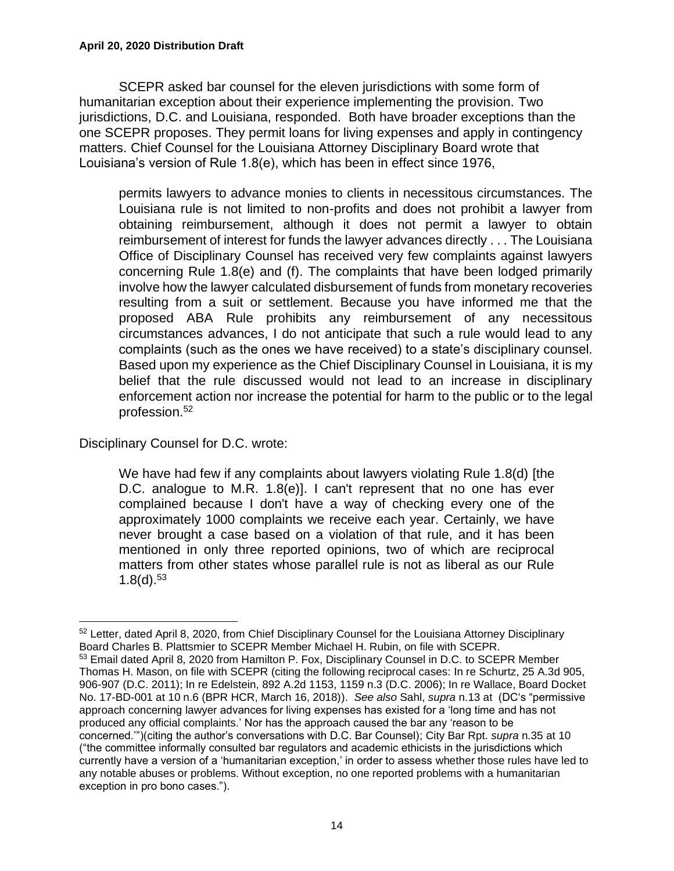SCEPR asked bar counsel for the eleven jurisdictions with some form of humanitarian exception about their experience implementing the provision. Two jurisdictions, D.C. and Louisiana, responded. Both have broader exceptions than the one SCEPR proposes. They permit loans for living expenses and apply in contingency matters. Chief Counsel for the Louisiana Attorney Disciplinary Board wrote that Louisiana's version of Rule 1.8(e), which has been in effect since 1976,

permits lawyers to advance monies to clients in necessitous circumstances. The Louisiana rule is not limited to non-profits and does not prohibit a lawyer from obtaining reimbursement, although it does not permit a lawyer to obtain reimbursement of interest for funds the lawyer advances directly . . . The Louisiana Office of Disciplinary Counsel has received very few complaints against lawyers concerning Rule 1.8(e) and (f). The complaints that have been lodged primarily involve how the lawyer calculated disbursement of funds from monetary recoveries resulting from a suit or settlement. Because you have informed me that the proposed ABA Rule prohibits any reimbursement of any necessitous circumstances advances, I do not anticipate that such a rule would lead to any complaints (such as the ones we have received) to a state's disciplinary counsel. Based upon my experience as the Chief Disciplinary Counsel in Louisiana, it is my belief that the rule discussed would not lead to an increase in disciplinary enforcement action nor increase the potential for harm to the public or to the legal profession.<sup>52</sup>

Disciplinary Counsel for D.C. wrote:

We have had few if any complaints about lawyers violating Rule 1.8(d) [the D.C. analogue to M.R. 1.8(e)]. I can't represent that no one has ever complained because I don't have a way of checking every one of the approximately 1000 complaints we receive each year. Certainly, we have never brought a case based on a violation of that rule, and it has been mentioned in only three reported opinions, two of which are reciprocal matters from other states whose parallel rule is not as liberal as our Rule  $1.8(d).^{53}$ 

<sup>&</sup>lt;sup>52</sup> Letter, dated April 8, 2020, from Chief Disciplinary Counsel for the Louisiana Attorney Disciplinary Board Charles B. Plattsmier to SCEPR Member Michael H. Rubin, on file with SCEPR. <sup>53</sup> Email dated April 8, 2020 from Hamilton P. Fox, Disciplinary Counsel in D.C. to SCEPR Member Thomas H. Mason, on file with SCEPR (citing the following reciprocal cases: In re Schurtz, 25 A.3d 905, 906-907 (D.C. 2011); In re Edelstein, 892 A.2d 1153, 1159 n.3 (D.C. 2006); In re Wallace, Board Docket No. 17-BD-001 at 10 n.6 (BPR HCR, March 16, 2018)). *See also* Sahl, *supra* n.13 at (DC's "permissive approach concerning lawyer advances for living expenses has existed for a 'long time and has not produced any official complaints.' Nor has the approach caused the bar any 'reason to be concerned.'")(citing the author's conversations with D.C. Bar Counsel); City Bar Rpt. *supra* n.35 at 10 ("the committee informally consulted bar regulators and academic ethicists in the jurisdictions which currently have a version of a 'humanitarian exception,' in order to assess whether those rules have led to any notable abuses or problems. Without exception, no one reported problems with a humanitarian exception in pro bono cases.").